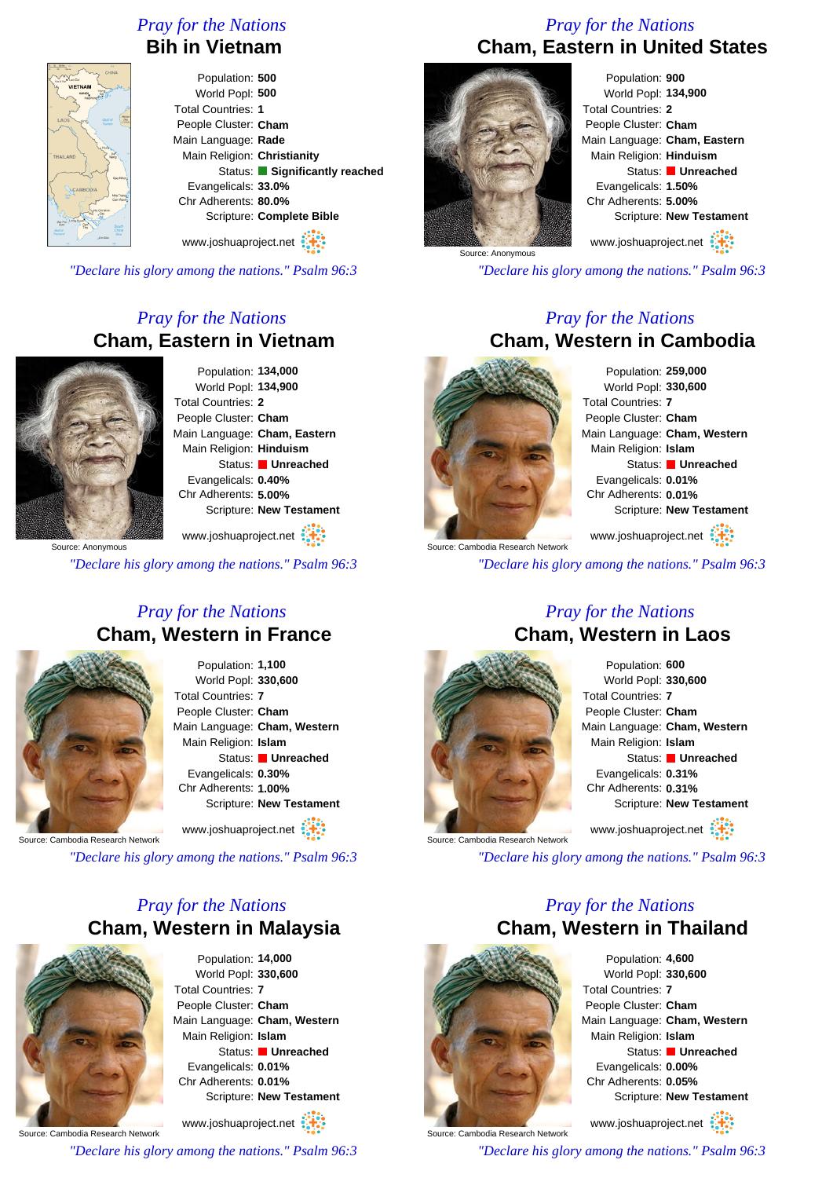# *Pray for the Nations*

### **Bih in Vietnam**

Population: **500** World Popl: **500** Total Countries: **1** People Cluster: **Cham** Main Language: **Rade** Main Religion: **Christianity** Status: **Significantly reached** Evangelicals: **33.0%** Chr Adherents: **80.0%** Scripture: **Complete Bible**

www.joshuaproject.net

*"Declare his glory among the nations." Psalm 96:3*

# *Pray for the Nations* **Cham, Eastern in Vietnam**



Population: **134,000** World Popl: **134,900** Total Countries: **2** People Cluster: **Cham** Main Language: **Cham, Eastern** Main Religion: **Hinduism** Status: **Unreached** Evangelicals: **0.40%** Chr Adherents: **5.00%** Scripture: **New Testament**

www.joshuaproject.net

*"Declare his glory among the nations." Psalm 96:3*

#### *Pray for the Nations* **Cham, Western in France**



Population: **1,100** World Popl: **330,600** Total Countries: **7** People Cluster: **Cham** Main Language: **Cham, Western** Main Religion: **Islam** Status: **Unreached** Evangelicals: **0.30%** Chr Adherents: **1.00%** Scripture: **New Testament**

www.joshuaproject.net

Source: Cambodia Research Network

*"Declare his glory among the nations." Psalm 96:3*

# *Pray for the Nations* **Cham, Western in Malaysia**



Population: **14,000** World Popl: **330,600** Total Countries: **7** People Cluster: **Cham** Main Language: **Cham, Western** Main Religion: **Islam** Status: **Unreached** Evangelicals: **0.01%** Chr Adherents: **0.01%** Scripture: **New Testament** www.joshuaproject.net

Source: Cambodia Research Network

*"Declare his glory among the nations." Psalm 96:3*

# *Pray for the Nations* **Cham, Eastern in United States**



Population: **900** World Popl: **134,900** Total Countries: **2** People Cluster: **Cham** Main Language: **Cham, Eastern** Main Religion: **Hinduism** Status: **Unreached** Evangelicals: **1.50%** Chr Adherents: **5.00%** Scripture: **New Testament**

www.joshuaproject.net

*"Declare his glory among the nations." Psalm 96:3*

#### *Pray for the Nations* **Cham, Western in Cambodia**



**Source: Cambodia Research Network** 

Population: **259,000** World Popl: **330,600** Total Countries: **7** People Cluster: **Cham** Main Language: **Cham, Western** Main Religion: **Islam** Status: **Unreached** Evangelicals: **0.01%** Chr Adherents: **0.01%** Scripture: **New Testament**

www.joshuaproject.net

*"Declare his glory among the nations." Psalm 96:3*

#### *Pray for the Nations* **Cham, Western in Laos**





*"Declare his glory among the nations." Psalm 96:3*

# *Pray for the Nations* **Cham, Western in Thailand**



Population: **4,600** World Popl: **330,600** Total Countries: **7** People Cluster: **Cham** Main Language: **Cham, Western** Main Religion: **Islam** Status: **Unreached** Evangelicals: **0.00%** Chr Adherents: **0.05%** Scripture: **New Testament**

www.joshuaproject.net

*"Declare his glory among the nations." Psalm 96:3*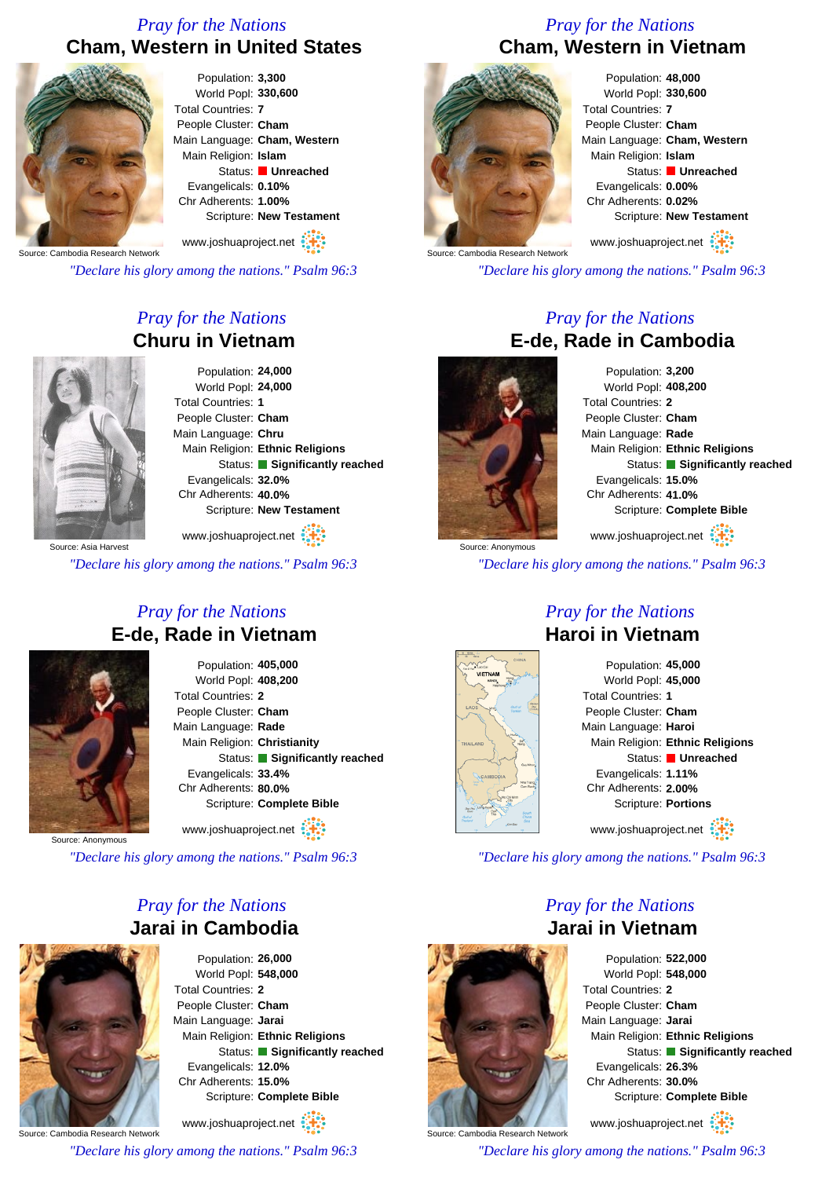# *Pray for the Nations* **Cham, Western in United States**



Population: **3,300** World Popl: **330,600** Total Countries: **7** People Cluster: **Cham** Main Language: **Cham, Western** Main Religion: **Islam** Status: **Unreached** Evangelicals: **0.10%** Chr Adherents: **1.00%** Scripture: **New Testament**

Source: Cambodia Research Network www.joshuaproject.net

*"Declare his glory among the nations." Psalm 96:3*

# *Pray for the Nations* **Churu in Vietnam**

Population: **24,000** World Popl: **24,000** Total Countries: **1** People Cluster: **Cham** Main Language: **Chru** Main Religion: **Ethnic Religions** Status: **Significantly reached** Evangelicals: **32.0%** Chr Adherents: **40.0%** Scripture: **New Testament**

Source: Asia Harvest www.joshuaproject.net

*"Declare his glory among the nations." Psalm 96:3*

### *Pray for the Nations* **E-de, Rade in Vietnam**



Population: **405,000** World Popl: **408,200** Total Countries: **2** People Cluster: **Cham** Main Language: **Rade** Main Religion: **Christianity** Status: **Significantly reached** Evangelicals: **33.4%** Chr Adherents: **80.0%** Scripture: **Complete Bible** www.joshuaproject.net

Source: Anonymous

*"Declare his glory among the nations." Psalm 96:3*

### *Pray for the Nations* **Jarai in Cambodia**



Population: **26,000** World Popl: **548,000** Total Countries: **2** People Cluster: **Cham** Main Language: **Jarai** Main Religion: **Ethnic Religions** Status: **Significantly reached** Evangelicals: **12.0%** Chr Adherents: **15.0%** Scripture: **Complete Bible**

Source: Cambodia Research Network www.joshuaproject.net

*"Declare his glory among the nations." Psalm 96:3*

# *Pray for the Nations* **Cham, Western in Vietnam**



Population: **48,000** World Popl: **330,600** Total Countries: **7** People Cluster: **Cham** Main Language: **Cham, Western** Main Religion: **Islam** Status: **Unreached** Evangelicals: **0.00%** Chr Adherents: **0.02%** Scripture: **New Testament**

www.joshuaproject.net

*"Declare his glory among the nations." Psalm 96:3*

### *Pray for the Nations* **E-de, Rade in Cambodia**



Population: **3,200** World Popl: **408,200** Total Countries: **2** People Cluster: **Cham** Main Language: **Rade** Main Religion: **Ethnic Religions** Status: **Significantly reached** Evangelicals: **15.0%** Chr Adherents: **41.0%** Scripture: **Complete Bible** www.joshuaproject.net

Source: Anonymous

*"Declare his glory among the nations." Psalm 96:3*

### *Pray for the Nations* **Haroi in Vietnam**



Population: **45,000** World Popl: **45,000** Total Countries: **1** People Cluster: **Cham** Main Language: **Haroi** Main Religion: **Ethnic Religions** Status: **Unreached** Evangelicals: **1.11%** Chr Adherents: **2.00%** Scripture: **Portions** www.joshuaproject.net

*"Declare his glory among the nations." Psalm 96:3*

### *Pray for the Nations* **Jarai in Vietnam**



Population: **522,000** World Popl: **548,000** Total Countries: **2** People Cluster: **Cham** Main Language: **Jarai** Main Religion: **Ethnic Religions** Status: **Significantly reached** Evangelicals: **26.3%** Chr Adherents: **30.0%** Scripture: **Complete Bible** www.joshuaproject.net

*"Declare his glory among the nations." Psalm 96:3*